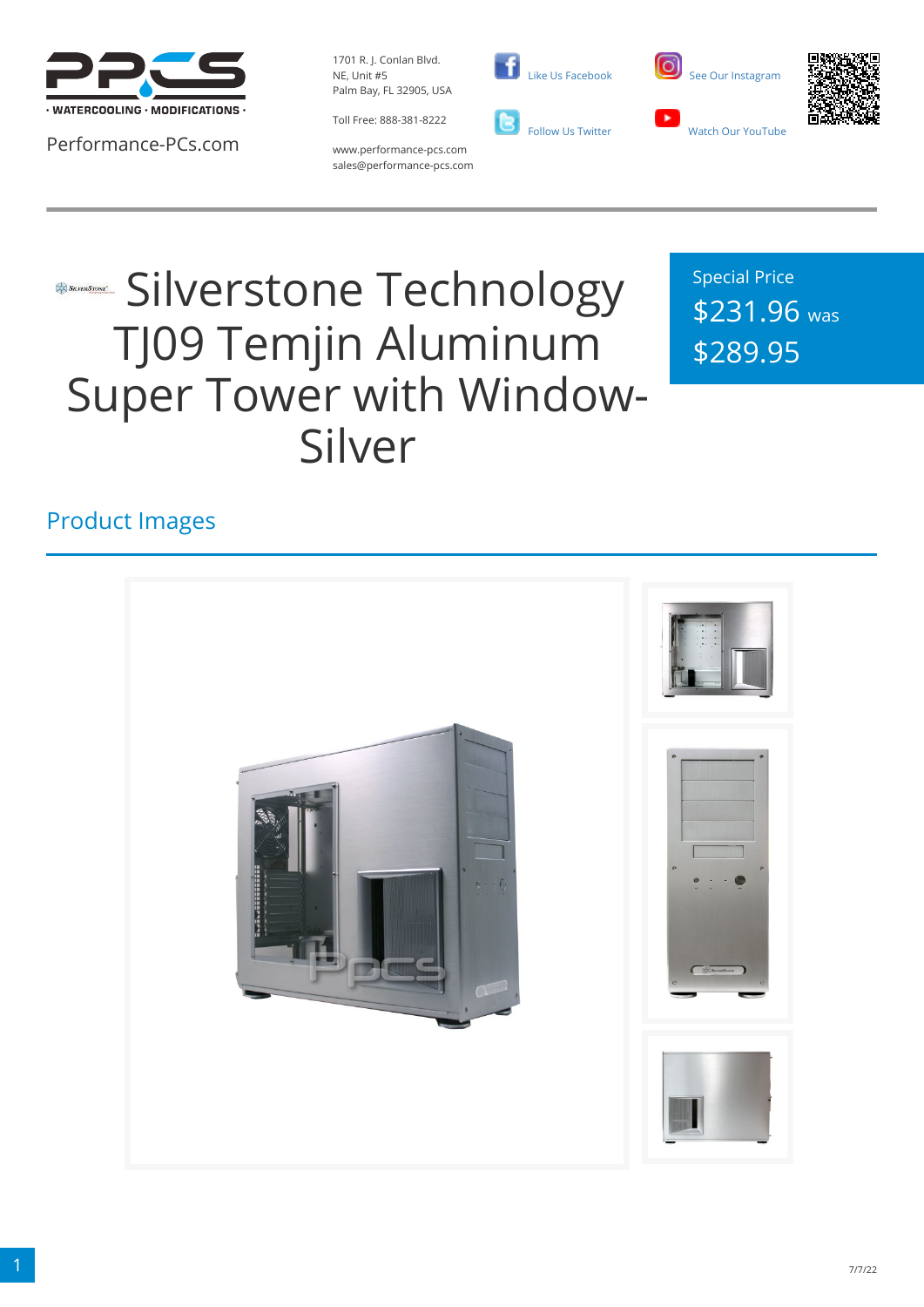

Performance-PCs.com

1701 R. J. Conlan Blvd. NE, Unit #5 Palm Bay, FL 32905, USA

Toll Free: 888-381-8222







www.performance-pcs.com sales@performance-pcs.com

# **Silverstone Technology** TJ09 Temjin Aluminum Super Tower with Window-Silver

Special Price \$231.96 was \$289.95

#### Product Images

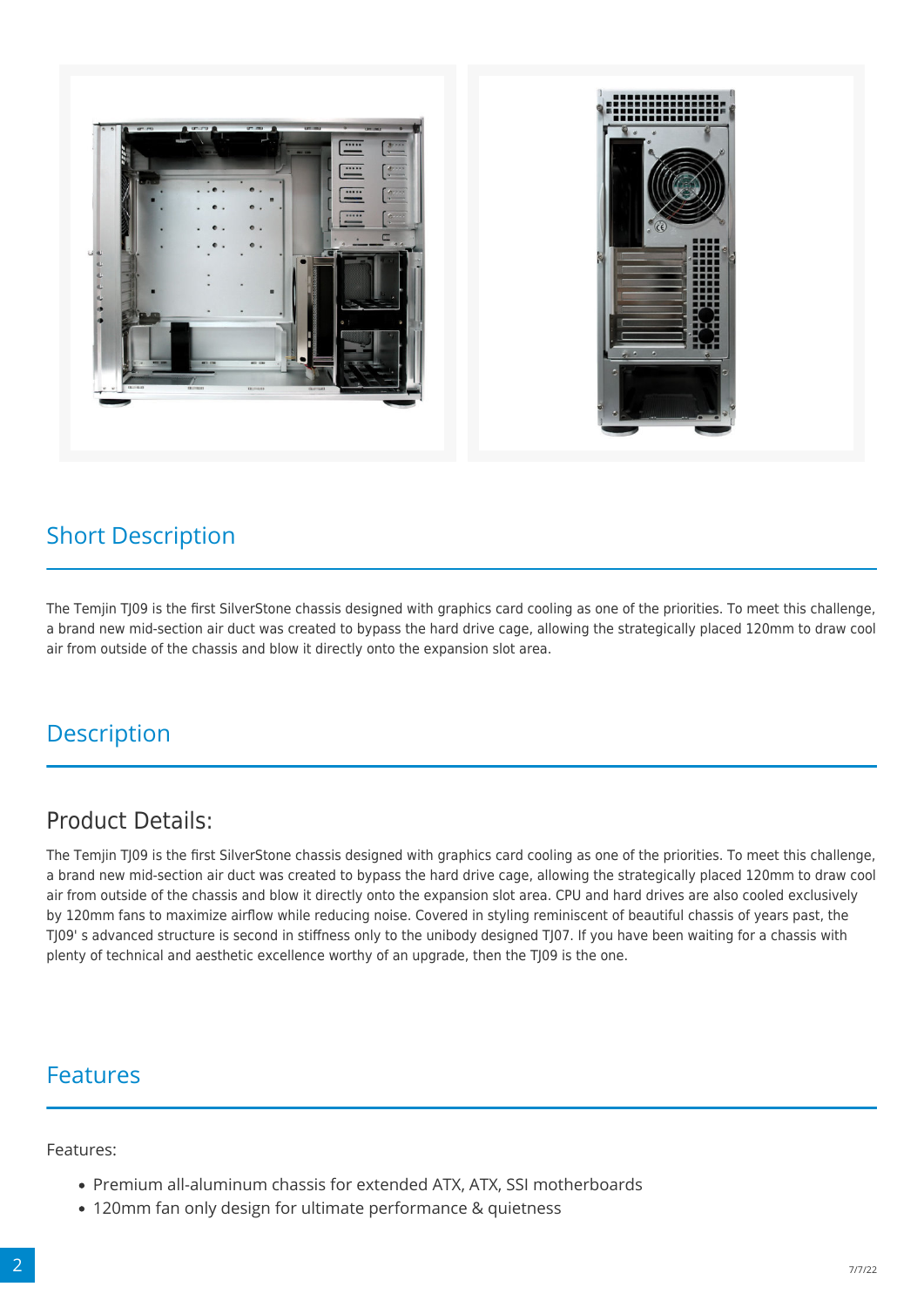



#### Short Description

The Temjin TJ09 is the first SilverStone chassis designed with graphics card cooling as one of the priorities. To meet this challenge, a brand new mid-section air duct was created to bypass the hard drive cage, allowing the strategically placed 120mm to draw cool air from outside of the chassis and blow it directly onto the expansion slot area.

### **Description**

#### Product Details:

The Temjin TJ09 is the first SilverStone chassis designed with graphics card cooling as one of the priorities. To meet this challenge, a brand new mid-section air duct was created to bypass the hard drive cage, allowing the strategically placed 120mm to draw cool air from outside of the chassis and blow it directly onto the expansion slot area. CPU and hard drives are also cooled exclusively by 120mm fans to maximize airflow while reducing noise. Covered in styling reminiscent of beautiful chassis of years past, the TJ09' s advanced structure is second in stiffness only to the unibody designed TJ07. If you have been waiting for a chassis with plenty of technical and aesthetic excellence worthy of an upgrade, then the TJ09 is the one.

#### Features

Features:

- Premium all-aluminum chassis for extended ATX, ATX, SSI motherboards
- 120mm fan only design for ultimate performance & quietness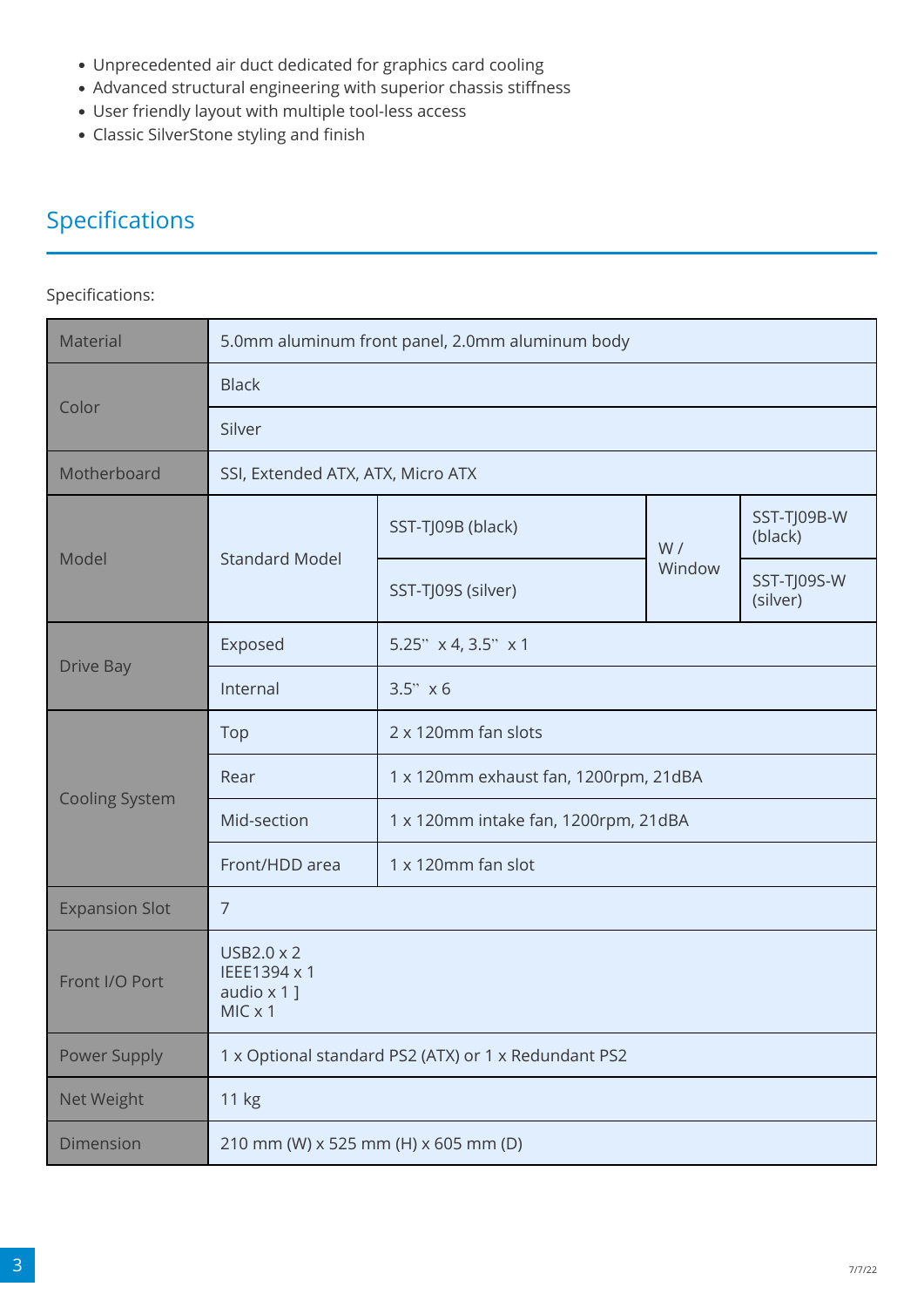- Unprecedented air duct dedicated for graphics card cooling
- Advanced structural engineering with superior chassis stiffness
- User friendly layout with multiple tool-less access
- Classic SilverStone styling and finish

## Specifications

#### Specifications:

| Material              | 5.0mm aluminum front panel, 2.0mm aluminum body           |                                       |              |                         |
|-----------------------|-----------------------------------------------------------|---------------------------------------|--------------|-------------------------|
| Color                 | <b>Black</b>                                              |                                       |              |                         |
|                       | Silver                                                    |                                       |              |                         |
| Motherboard           | SSI, Extended ATX, ATX, Micro ATX                         |                                       |              |                         |
| Model                 | <b>Standard Model</b>                                     | SST-TJ09B (black)                     | W/<br>Window | SST-TJ09B-W<br>(black)  |
|                       |                                                           | SST-TJ09S (silver)                    |              | SST-TJ09S-W<br>(silver) |
| <b>Drive Bay</b>      | Exposed                                                   | 5.25" x 4, 3.5" x 1                   |              |                         |
|                       | Internal                                                  | 3.5" x 6                              |              |                         |
| <b>Cooling System</b> | Top                                                       | 2 x 120mm fan slots                   |              |                         |
|                       | Rear                                                      | 1 x 120mm exhaust fan, 1200rpm, 21dBA |              |                         |
|                       | Mid-section                                               | 1 x 120mm intake fan, 1200rpm, 21dBA  |              |                         |
|                       | Front/HDD area                                            | 1 x 120mm fan slot                    |              |                         |
| <b>Expansion Slot</b> | $\overline{7}$                                            |                                       |              |                         |
| Front I/O Port        | USB2.0 x 2<br>IEEE1394 x 1<br>audio $\times$ 1]<br>MICx 1 |                                       |              |                         |
| <b>Power Supply</b>   | 1 x Optional standard PS2 (ATX) or 1 x Redundant PS2      |                                       |              |                         |
| Net Weight            | 11 kg                                                     |                                       |              |                         |
| Dimension             | 210 mm (W) x 525 mm (H) x 605 mm (D)                      |                                       |              |                         |